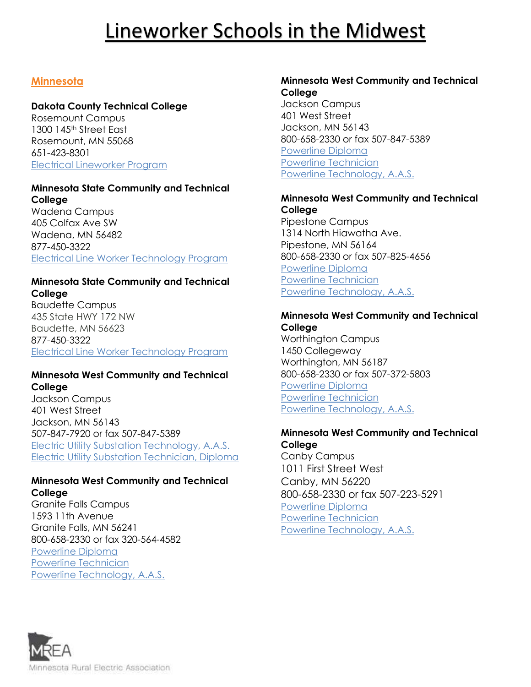## **Minnesota**

# **Dakota County Technical College**

Rosemount Campus 1300 145th Street East Rosemount, MN 55068 651-423-8301 [Electrical Lineworker Program](http://www.dctc.edu/academics/programs-majors/industry-careers/electrical-lineworker/)

#### **Minnesota State Community and Technical College**

Wadena Campus 405 Colfax Ave SW Wadena, MN 56482 877-450-3322 [Electrical Line Worker Technology Program](https://www.minnesota.edu/programs/electrical-line-worker-technology/#Electrical_Lineworker__Baudette_Location)

### **Minnesota State Community and Technical College**

Baudette Campus 435 State HWY 172 NW Baudette, MN 56623 877-450-3322 [Electrical Line Worker Technology Program](https://www.minnesota.edu/programs/electrical-line-worker-technology/#Electrical_Lineworker__Baudette_Location)

### **Minnesota West Community and Technical College**

Jackson Campus 401 West Street Jackson, MN 56143 507-847-7920 or fax 507-847-5389 [Electric Utility Substation Technology, A.A.S.](http://www.mnwest.edu/programs-courses/list/electric-utility-substation-technology-aas)  [Electric Utility Substation Technician, Diploma](http://www.mnwest.edu/programs-courses/list/electric-utility-substation-technician-diploma) 

### **Minnesota West Community and Technical College**

[Granite Falls Campus](https://www.mnwest.edu/index.php/campuses/granite-falls/) 1593 11th Avenue Granite Falls, MN 56241 800-658-2330 or fax 320-564-4582 [Powerline Diploma](https://www.mnwest.edu/programs-courses/list/powerline-diploma) [Powerline Technician](https://www.mnwest.edu/programs-courses/list/powerline-technician-diploma) [Powerline Technology, A.A.S.](https://www.mnwest.edu/programs-courses/list/powerline-technology-aas)

#### **Minnesota West Community and Technical College**

[Jackson Campus](https://www.mnwest.edu/index.php/campuses/jackson/) 401 West Street Jackson, MN 56143 800-658-2330 or fax 507-847-5389 [Powerline Diploma](https://www.mnwest.edu/programs-courses/list/powerline-diploma) [Powerline Technician](https://www.mnwest.edu/programs-courses/list/powerline-technician-diploma) [Powerline Technology, A.A.S.](https://www.mnwest.edu/programs-courses/list/powerline-technology-aas)

### **Minnesota West Community and Technical College**

[Pipestone Campus](https://www.mnwest.edu/index.php/campuses/pipestone/) 1314 North Hiawatha Ave. Pipestone, MN 56164 800-658-2330 or fax 507-825-4656 [Powerline Diploma](https://www.mnwest.edu/programs-courses/list/powerline-diploma) [Powerline Technician](https://www.mnwest.edu/programs-courses/list/powerline-technician-diploma) [Powerline Technology, A.A.S.](https://www.mnwest.edu/programs-courses/list/powerline-technology-aas)

#### **Minnesota West Community and Technical College**

[Worthington Campus](https://www.mnwest.edu/index.php/campuses/worthington/) 1450 Collegeway Worthington, MN 56187 800-658-2330 or fax 507-372-5803 [Powerline Diploma](https://www.mnwest.edu/programs-courses/list/powerline-diploma) [Powerline Technician](https://www.mnwest.edu/programs-courses/list/powerline-technician-diploma) [Powerline Technology, A.A.S.](https://www.mnwest.edu/programs-courses/list/powerline-technology-aas)

#### **Minnesota West Community and Technical College**

[Canby Campus](https://www.mnwest.edu/index.php/campuses/canby/) 1011 First Street West Canby, MN 56220 800-658-2330 or fax 507-223-5291 [Powerline Diploma](https://www.mnwest.edu/programs-courses/list/powerline-diploma) [Powerline Technician](https://www.mnwest.edu/programs-courses/list/powerline-technician-diploma) [Powerline Technology, A.A.S.](https://www.mnwest.edu/programs-courses/list/powerline-technology-aas)